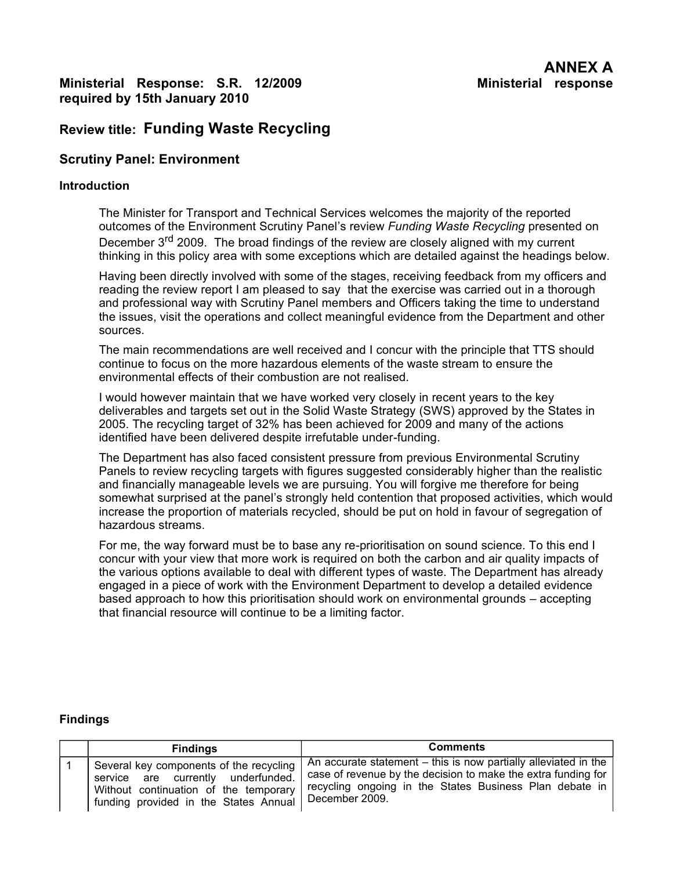## **Ministerial Response: S.R. 12/2009 Ministerial response required by 15th January 2010**

# **Review title: Funding Waste Recycling**

## **Scrutiny Panel: Environment**

#### **Introduction**

The Minister for Transport and Technical Services welcomes the majority of the reported outcomes of the Environment Scrutiny Panel's review *Funding Waste Recycling* presented on December 3<sup>rd</sup> 2009. The broad findings of the review are closely aligned with my current thinking in this policy area with some exceptions which are detailed against the headings below.

Having been directly involved with some of the stages, receiving feedback from my officers and reading the review report I am pleased to say that the exercise was carried out in a thorough and professional way with Scrutiny Panel members and Officers taking the time to understand the issues, visit the operations and collect meaningful evidence from the Department and other sources.

The main recommendations are well received and I concur with the principle that TTS should continue to focus on the more hazardous elements of the waste stream to ensure the environmental effects of their combustion are not realised.

I would however maintain that we have worked very closely in recent years to the key deliverables and targets set out in the Solid Waste Strategy (SWS) approved by the States in 2005. The recycling target of 32% has been achieved for 2009 and many of the actions identified have been delivered despite irrefutable under-funding.

The Department has also faced consistent pressure from previous Environmental Scrutiny Panels to review recycling targets with figures suggested considerably higher than the realistic and financially manageable levels we are pursuing. You will forgive me therefore for being somewhat surprised at the panel's strongly held contention that proposed activities, which would increase the proportion of materials recycled, should be put on hold in favour of segregation of hazardous streams.

For me, the way forward must be to base any re-prioritisation on sound science. To this end I concur with your view that more work is required on both the carbon and air quality impacts of the various options available to deal with different types of waste. The Department has already engaged in a piece of work with the Environment Department to develop a detailed evidence based approach to how this prioritisation should work on environmental grounds – accepting that financial resource will continue to be a limiting factor.

### **Findings**

| <b>Findings</b>                                                                                                                                                 | <b>Comments</b>                                                                                                                                                                                                 |
|-----------------------------------------------------------------------------------------------------------------------------------------------------------------|-----------------------------------------------------------------------------------------------------------------------------------------------------------------------------------------------------------------|
| Several key components of the recycling<br>service are currently underfunded.<br>Without continuation of the temporary<br>funding provided in the States Annual | An accurate statement $-$ this is now partially alleviated in the<br>case of revenue by the decision to make the extra funding for<br>recycling ongoing in the States Business Plan debate in<br>December 2009. |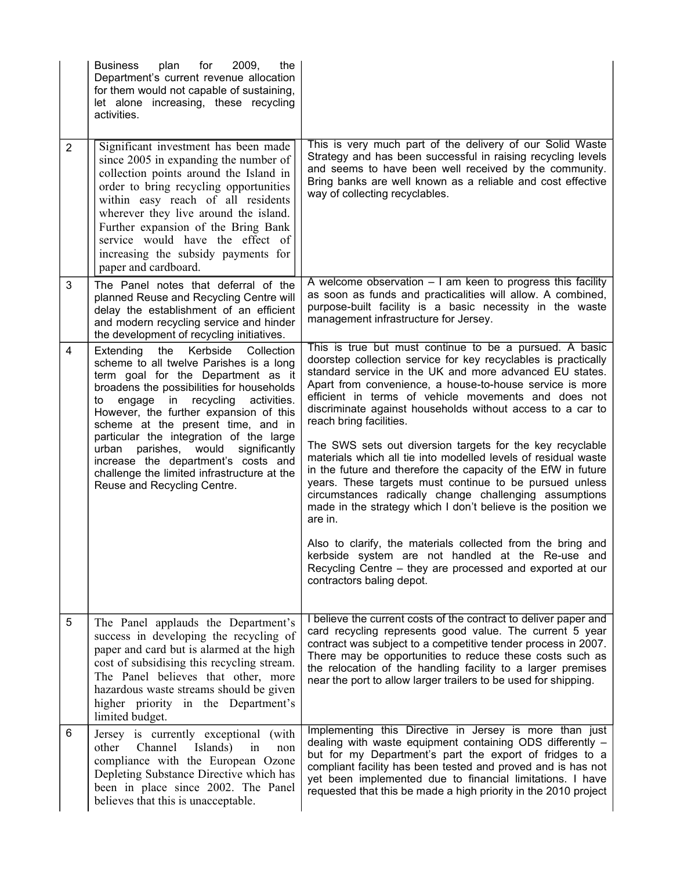|                | <b>Business</b><br>plan<br>for<br>2009,<br>the<br>Department's current revenue allocation<br>for them would not capable of sustaining,<br>let alone increasing, these recycling<br>activities.                                                                                                                                                                                                                                                                                                                    |                                                                                                                                                                                                                                                                                                                                                                                                                                                                                                                                                                                                                                                                                                                                                                                                                                                                                                                                                                                                                  |
|----------------|-------------------------------------------------------------------------------------------------------------------------------------------------------------------------------------------------------------------------------------------------------------------------------------------------------------------------------------------------------------------------------------------------------------------------------------------------------------------------------------------------------------------|------------------------------------------------------------------------------------------------------------------------------------------------------------------------------------------------------------------------------------------------------------------------------------------------------------------------------------------------------------------------------------------------------------------------------------------------------------------------------------------------------------------------------------------------------------------------------------------------------------------------------------------------------------------------------------------------------------------------------------------------------------------------------------------------------------------------------------------------------------------------------------------------------------------------------------------------------------------------------------------------------------------|
| $\overline{2}$ | Significant investment has been made<br>since 2005 in expanding the number of<br>collection points around the Island in<br>order to bring recycling opportunities<br>within easy reach of all residents<br>wherever they live around the island.<br>Further expansion of the Bring Bank<br>service would have the effect of<br>increasing the subsidy payments for<br>paper and cardboard.                                                                                                                        | This is very much part of the delivery of our Solid Waste<br>Strategy and has been successful in raising recycling levels<br>and seems to have been well received by the community.<br>Bring banks are well known as a reliable and cost effective<br>way of collecting recyclables.                                                                                                                                                                                                                                                                                                                                                                                                                                                                                                                                                                                                                                                                                                                             |
| 3              | The Panel notes that deferral of the<br>planned Reuse and Recycling Centre will<br>delay the establishment of an efficient<br>and modern recycling service and hinder<br>the development of recycling initiatives.                                                                                                                                                                                                                                                                                                | A welcome observation $-1$ am keen to progress this facility<br>as soon as funds and practicalities will allow. A combined,<br>purpose-built facility is a basic necessity in the waste<br>management infrastructure for Jersey.                                                                                                                                                                                                                                                                                                                                                                                                                                                                                                                                                                                                                                                                                                                                                                                 |
| 4              | Extending<br>Kerbside<br>Collection<br>the<br>scheme to all twelve Parishes is a long<br>term goal for the Department as it<br>broadens the possibilities for households<br>engage in recycling<br>activities.<br>to<br>However, the further expansion of this<br>scheme at the present time, and in<br>particular the integration of the large<br>parishes, would<br>significantly<br>urban<br>increase the department's costs and<br>challenge the limited infrastructure at the<br>Reuse and Recycling Centre. | This is true but must continue to be a pursued. A basic<br>doorstep collection service for key recyclables is practically<br>standard service in the UK and more advanced EU states.<br>Apart from convenience, a house-to-house service is more<br>efficient in terms of vehicle movements and does not<br>discriminate against households without access to a car to<br>reach bring facilities.<br>The SWS sets out diversion targets for the key recyclable<br>materials which all tie into modelled levels of residual waste<br>in the future and therefore the capacity of the EfW in future<br>years. These targets must continue to be pursued unless<br>circumstances radically change challenging assumptions<br>made in the strategy which I don't believe is the position we<br>are in.<br>Also to clarify, the materials collected from the bring and<br>kerbside system are not handled at the Re-use and<br>Recycling Centre – they are processed and exported at our<br>contractors baling depot. |
| 5              | The Panel applauds the Department's<br>success in developing the recycling of<br>paper and card but is alarmed at the high<br>cost of subsidising this recycling stream.<br>The Panel believes that other, more<br>hazardous waste streams should be given<br>higher priority in the Department's<br>limited budget.                                                                                                                                                                                              | I believe the current costs of the contract to deliver paper and<br>card recycling represents good value. The current 5 year<br>contract was subject to a competitive tender process in 2007.<br>There may be opportunities to reduce these costs such as<br>the relocation of the handling facility to a larger premises<br>near the port to allow larger trailers to be used for shipping.                                                                                                                                                                                                                                                                                                                                                                                                                                                                                                                                                                                                                     |
| 6              | Jersey is currently exceptional (with<br>Channel<br>Islands)<br>other<br>in<br>non<br>compliance with the European Ozone<br>Depleting Substance Directive which has<br>been in place since 2002. The Panel<br>believes that this is unacceptable.                                                                                                                                                                                                                                                                 | Implementing this Directive in Jersey is more than just<br>dealing with waste equipment containing ODS differently -<br>but for my Department's part the export of fridges to a<br>compliant facility has been tested and proved and is has not<br>yet been implemented due to financial limitations. I have<br>requested that this be made a high priority in the 2010 project                                                                                                                                                                                                                                                                                                                                                                                                                                                                                                                                                                                                                                  |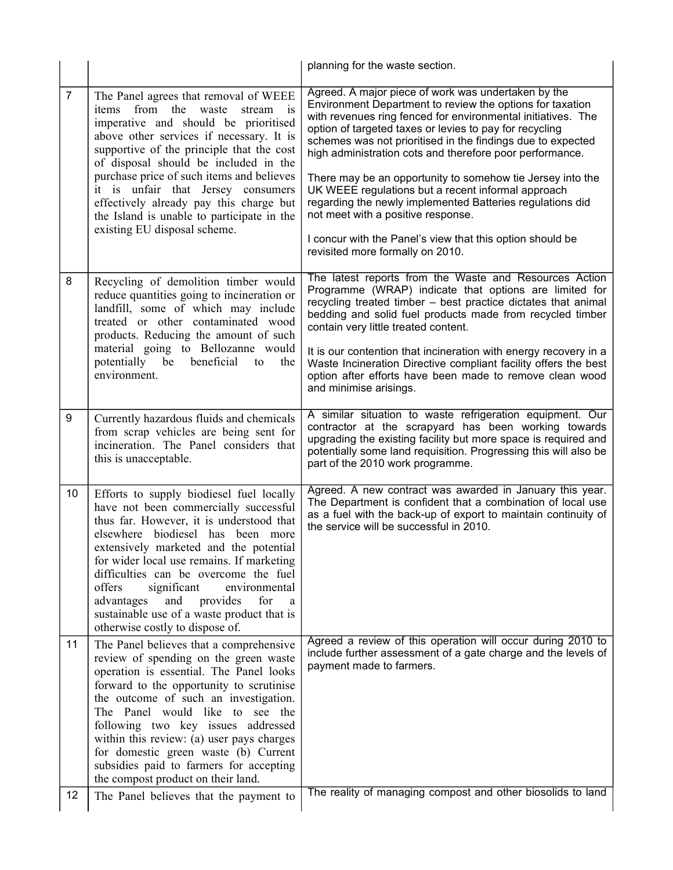|                |                                                                                                                                                                                                                                                                                                                                                                                                                                                                                 | planning for the waste section.                                                                                                                                                                                                                                                                                                                                                                                                                                                                                                                                                                                                                                                                |
|----------------|---------------------------------------------------------------------------------------------------------------------------------------------------------------------------------------------------------------------------------------------------------------------------------------------------------------------------------------------------------------------------------------------------------------------------------------------------------------------------------|------------------------------------------------------------------------------------------------------------------------------------------------------------------------------------------------------------------------------------------------------------------------------------------------------------------------------------------------------------------------------------------------------------------------------------------------------------------------------------------------------------------------------------------------------------------------------------------------------------------------------------------------------------------------------------------------|
| $\overline{7}$ | The Panel agrees that removal of WEEE<br>items from the waste<br>stream<br>$\overline{1}$<br>imperative and should be prioritised<br>above other services if necessary. It is<br>supportive of the principle that the cost<br>of disposal should be included in the<br>purchase price of such items and believes<br>it is unfair that Jersey consumers<br>effectively already pay this charge but<br>the Island is unable to participate in the<br>existing EU disposal scheme. | Agreed. A major piece of work was undertaken by the<br>Environment Department to review the options for taxation<br>with revenues ring fenced for environmental initiatives. The<br>option of targeted taxes or levies to pay for recycling<br>schemes was not prioritised in the findings due to expected<br>high administration cots and therefore poor performance.<br>There may be an opportunity to somehow tie Jersey into the<br>UK WEEE regulations but a recent informal approach<br>regarding the newly implemented Batteries regulations did<br>not meet with a positive response.<br>I concur with the Panel's view that this option should be<br>revisited more formally on 2010. |
| 8              | Recycling of demolition timber would<br>reduce quantities going to incineration or<br>landfill, some of which may include<br>treated or other contaminated wood<br>products. Reducing the amount of such<br>material going to Bellozanne would<br>potentially be<br>beneficial<br>to<br>the<br>environment.                                                                                                                                                                     | The latest reports from the Waste and Resources Action<br>Programme (WRAP) indicate that options are limited for<br>recycling treated timber - best practice dictates that animal<br>bedding and solid fuel products made from recycled timber<br>contain very little treated content.<br>It is our contention that incineration with energy recovery in a<br>Waste Incineration Directive compliant facility offers the best<br>option after efforts have been made to remove clean wood<br>and minimise arisings.                                                                                                                                                                            |
| 9              | Currently hazardous fluids and chemicals<br>from scrap vehicles are being sent for<br>incineration. The Panel considers that<br>this is unacceptable.                                                                                                                                                                                                                                                                                                                           | A similar situation to waste refrigeration equipment. Our<br>contractor at the scrapyard has been working towards<br>upgrading the existing facility but more space is required and<br>potentially some land requisition. Progressing this will also be<br>part of the 2010 work programme.                                                                                                                                                                                                                                                                                                                                                                                                    |
| 10             | Efforts to supply biodiesel fuel locally<br>have not been commercially successful<br>thus far. However, it is understood that<br>elsewhere biodiesel has been more<br>extensively marketed and the potential<br>for wider local use remains. If marketing<br>difficulties can be overcome the fuel<br>significant<br>environmental<br>offers<br>advantages<br>and<br>provides<br>for<br>a<br>sustainable use of a waste product that is<br>otherwise costly to dispose of.      | Agreed. A new contract was awarded in January this year.<br>The Department is confident that a combination of local use<br>as a fuel with the back-up of export to maintain continuity of<br>the service will be successful in 2010.                                                                                                                                                                                                                                                                                                                                                                                                                                                           |
| 11             | The Panel believes that a comprehensive<br>review of spending on the green waste<br>operation is essential. The Panel looks<br>forward to the opportunity to scrutinise<br>the outcome of such an investigation.<br>The Panel would like to see the<br>following two key issues addressed<br>within this review: (a) user pays charges<br>for domestic green waste (b) Current<br>subsidies paid to farmers for accepting<br>the compost product on their land.                 | Agreed a review of this operation will occur during 2010 to<br>include further assessment of a gate charge and the levels of<br>payment made to farmers.                                                                                                                                                                                                                                                                                                                                                                                                                                                                                                                                       |
| 12             | The Panel believes that the payment to                                                                                                                                                                                                                                                                                                                                                                                                                                          | The reality of managing compost and other biosolids to land                                                                                                                                                                                                                                                                                                                                                                                                                                                                                                                                                                                                                                    |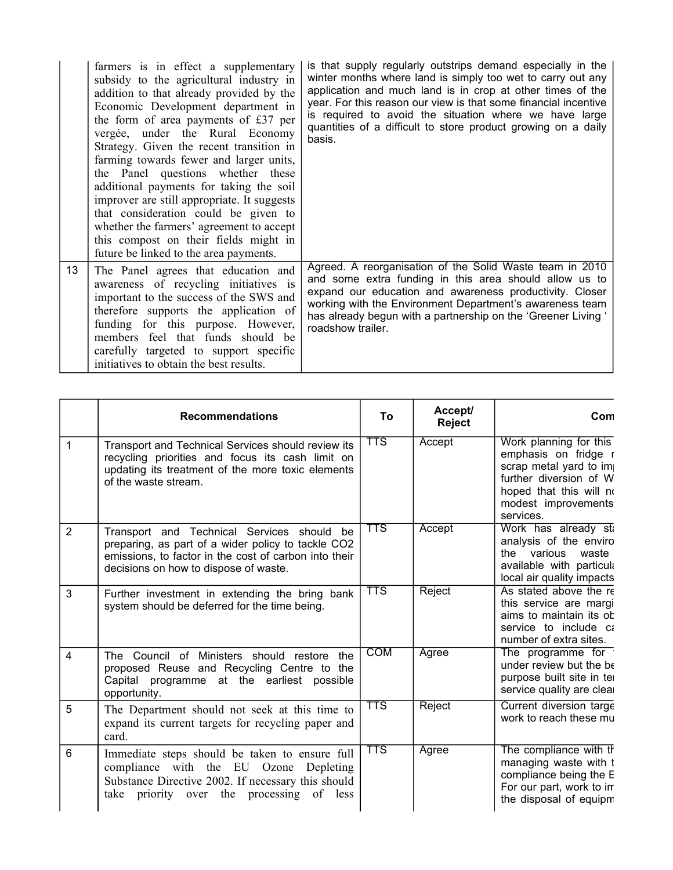|    | farmers is in effect a supplementary<br>subsidy to the agricultural industry in<br>addition to that already provided by the<br>Economic Development department in<br>the form of area payments of £37 per<br>vergée, under the Rural Economy<br>Strategy. Given the recent transition in<br>farming towards fewer and larger units,<br>the Panel questions whether these<br>additional payments for taking the soil<br>improver are still appropriate. It suggests<br>that consideration could be given to<br>whether the farmers' agreement to accept<br>this compost on their fields might in<br>future be linked to the area payments. | is that supply regularly outstrips demand especially in the<br>winter months where land is simply too wet to carry out any<br>application and much land is in crop at other times of the<br>year. For this reason our view is that some financial incentive<br>is required to avoid the situation where we have large<br>quantities of a difficult to store product growing on a daily<br>basis. |
|----|-------------------------------------------------------------------------------------------------------------------------------------------------------------------------------------------------------------------------------------------------------------------------------------------------------------------------------------------------------------------------------------------------------------------------------------------------------------------------------------------------------------------------------------------------------------------------------------------------------------------------------------------|--------------------------------------------------------------------------------------------------------------------------------------------------------------------------------------------------------------------------------------------------------------------------------------------------------------------------------------------------------------------------------------------------|
| 13 | The Panel agrees that education and<br>awareness of recycling initiatives is<br>important to the success of the SWS and<br>therefore supports the application of<br>funding for this purpose. However,<br>members feel that funds should be<br>carefully targeted to support specific<br>initiatives to obtain the best results.                                                                                                                                                                                                                                                                                                          | Agreed. A reorganisation of the Solid Waste team in 2010<br>and some extra funding in this area should allow us to<br>expand our education and awareness productivity. Closer<br>working with the Environment Department's awareness team<br>has already begun with a partnership on the 'Greener Living '<br>roadshow trailer.                                                                  |

|                | <b>Recommendations</b>                                                                                                                                                                             | To                      | Accept/<br>Reject | Com                                                                                                                                                               |
|----------------|----------------------------------------------------------------------------------------------------------------------------------------------------------------------------------------------------|-------------------------|-------------------|-------------------------------------------------------------------------------------------------------------------------------------------------------------------|
| $\mathbf{1}$   | Transport and Technical Services should review its<br>recycling priorities and focus its cash limit on<br>updating its treatment of the more toxic elements<br>of the waste stream.                | $\overline{\text{TTS}}$ | Accept            | Work planning for this<br>emphasis on fridge r<br>scrap metal yard to im<br>further diversion of W<br>hoped that this will no<br>modest improvements<br>services. |
| 2              | Transport and Technical Services should be<br>preparing, as part of a wider policy to tackle CO2<br>emissions, to factor in the cost of carbon into their<br>decisions on how to dispose of waste. | $\overline{\text{TTS}}$ | Accept            | Work has already still<br>analysis of the enviro<br>the various waste<br>available with particula<br>local air quality impacts                                    |
| 3              | Further investment in extending the bring bank<br>system should be deferred for the time being.                                                                                                    | $\overline{\text{TTS}}$ | Reject            | As stated above the re<br>this service are margi<br>aims to maintain its of<br>service to include ca<br>number of extra sites.                                    |
| $\overline{4}$ | The Council of Ministers should restore the<br>proposed Reuse and Recycling Centre to the<br>Capital programme at the earliest possible<br>opportunity.                                            | <b>COM</b>              | Agree             | The programme for<br>under review but the be<br>purpose built site in ter<br>service quality are clear                                                            |
| 5              | The Department should not seek at this time to<br>expand its current targets for recycling paper and<br>card.                                                                                      | $\overline{\text{TTS}}$ | Reject            | Current diversion targe<br>work to reach these mu                                                                                                                 |
| 6              | Immediate steps should be taken to ensure full<br>compliance with the EU Ozone Depleting<br>Substance Directive 2002. If necessary this should<br>take priority over the processing of less        | TTS                     | Agree             | The compliance with th<br>managing waste with t<br>compliance being the E<br>For our part, work to in<br>the disposal of equipm                                   |